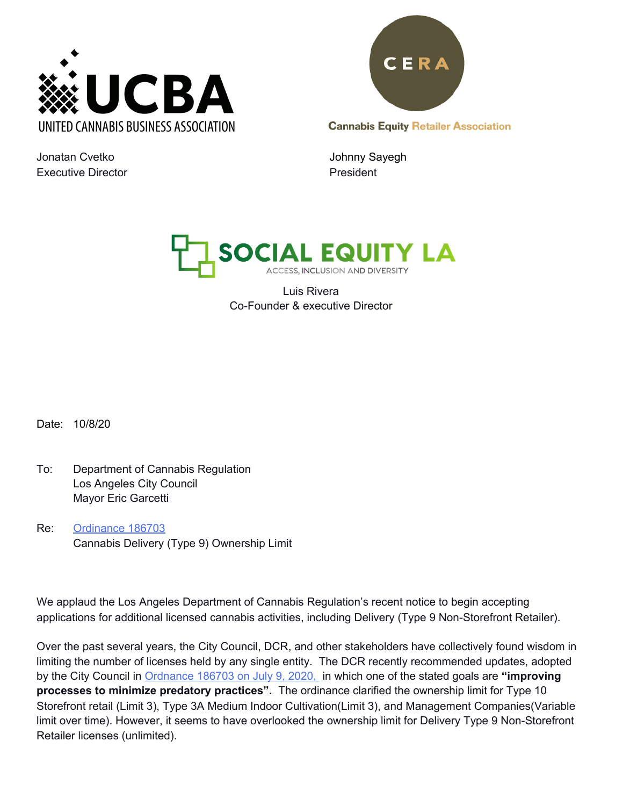



**Cannabis Equity Retailer Association** 

Jonatan Cvetko **Johnny Sayegh** Executive Director **President President** 



Luis Rivera Co-Founder & executive Director

Date: 10/8/20

- To: Department of Cannabis Regulation Los Angeles City Council Mayor Eric Garcetti
- Re: [Ordinance](https://export.amlegal.com/media/c70918d383dcf98f8d882d929c997af1ebe3da45/DATAOBJECTS/0-0-0-25511.pdf) 186703 Cannabis Delivery (Type 9) Ownership Limit

We applaud the Los Angeles Department of Cannabis Regulation's recent notice to begin accepting applications for additional licensed cannabis activities, including Delivery (Type 9 Non-Storefront Retailer).

Over the past several years, the City Council, DCR, and other stakeholders have collectively found wisdom in limiting the number of licenses held by any single entity. The DCR recently recommended updates, adopted by the City Council in [Ordnance](https://cityclerk.lacity.org/lacityclerkconnect/index.cfm?fa=ccfi.viewrecord&cfnumber=20-0446) 186703 on July 9, 2020, in [which](https://cityclerk.lacity.org/lacityclerkconnect/index.cfm?fa=ccfi.viewrecord&cfnumber=20-0446) one of the stated goals are **"improving processes to minimize predatory practices".** The ordinance clarified the ownership limit for Type 10 Storefront retail (Limit 3), Type 3A Medium Indoor Cultivation(Limit 3), and Management Companies(Variable limit over time). However, it seems to have overlooked the ownership limit for Delivery Type 9 Non-Storefront Retailer licenses (unlimited).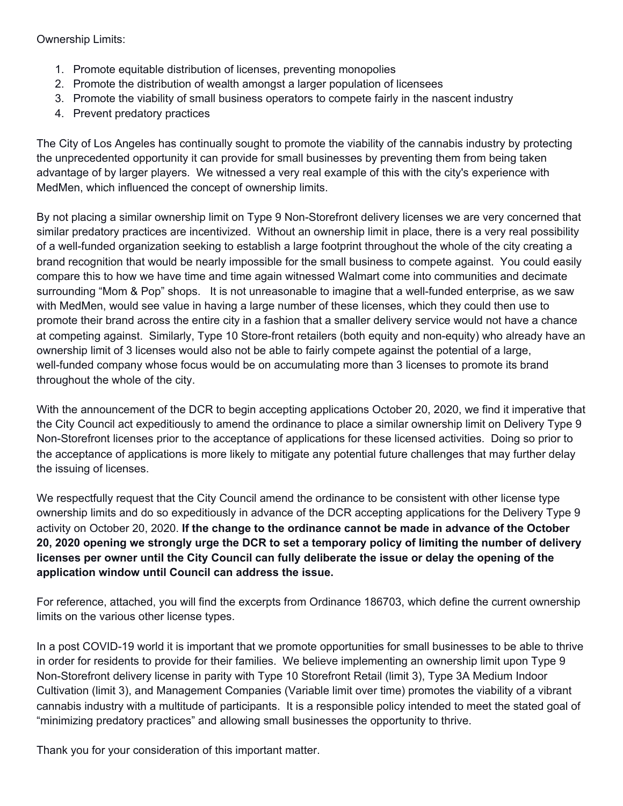Ownership Limits:

- 1. Promote equitable distribution of licenses, preventing monopolies
- 2. Promote the distribution of wealth amongst a larger population of licensees
- 3. Promote the viability of small business operators to compete fairly in the nascent industry
- 4. Prevent predatory practices

The City of Los Angeles has continually sought to promote the viability of the cannabis industry by protecting the unprecedented opportunity it can provide for small businesses by preventing them from being taken advantage of by larger players. We witnessed a very real example of this with the city's experience with MedMen, which influenced the concept of ownership limits.

By not placing a similar ownership limit on Type 9 Non-Storefront delivery licenses we are very concerned that similar predatory practices are incentivized. Without an ownership limit in place, there is a very real possibility of a well-funded organization seeking to establish a large footprint throughout the whole of the city creating a brand recognition that would be nearly impossible for the small business to compete against. You could easily compare this to how we have time and time again witnessed Walmart come into communities and decimate surrounding "Mom & Pop" shops. It is not unreasonable to imagine that a well-funded enterprise, as we saw with MedMen, would see value in having a large number of these licenses, which they could then use to promote their brand across the entire city in a fashion that a smaller delivery service would not have a chance at competing against. Similarly, Type 10 Store-front retailers (both equity and non-equity) who already have an ownership limit of 3 licenses would also not be able to fairly compete against the potential of a large, well-funded company whose focus would be on accumulating more than 3 licenses to promote its brand throughout the whole of the city.

With the announcement of the DCR to begin accepting applications October 20, 2020, we find it imperative that the City Council act expeditiously to amend the ordinance to place a similar ownership limit on Delivery Type 9 Non-Storefront licenses prior to the acceptance of applications for these licensed activities. Doing so prior to the acceptance of applications is more likely to mitigate any potential future challenges that may further delay the issuing of licenses.

We respectfully request that the City Council amend the ordinance to be consistent with other license type ownership limits and do so expeditiously in advance of the DCR accepting applications for the Delivery Type 9 activity on October 20, 2020. **If the change to the ordinance cannot be made in advance of the October** 20, 2020 opening we strongly urge the DCR to set a temporary policy of limiting the number of delivery licenses per owner until the City Council can fully deliberate the issue or delay the opening of the **application window until Council can address the issue.**

For reference, attached, you will find the excerpts from Ordinance 186703, which define the current ownership limits on the various other license types.

In a post COVID-19 world it is important that we promote opportunities for small businesses to be able to thrive in order for residents to provide for their families. We believe implementing an ownership limit upon Type 9 Non-Storefront delivery license in parity with Type 10 Storefront Retail (limit 3), Type 3A Medium Indoor Cultivation (limit 3), and Management Companies (Variable limit over time) promotes the viability of a vibrant cannabis industry with a multitude of participants. It is a responsible policy intended to meet the stated goal of "minimizing predatory practices" and allowing small businesses the opportunity to thrive.

Thank you for your consideration of this important matter.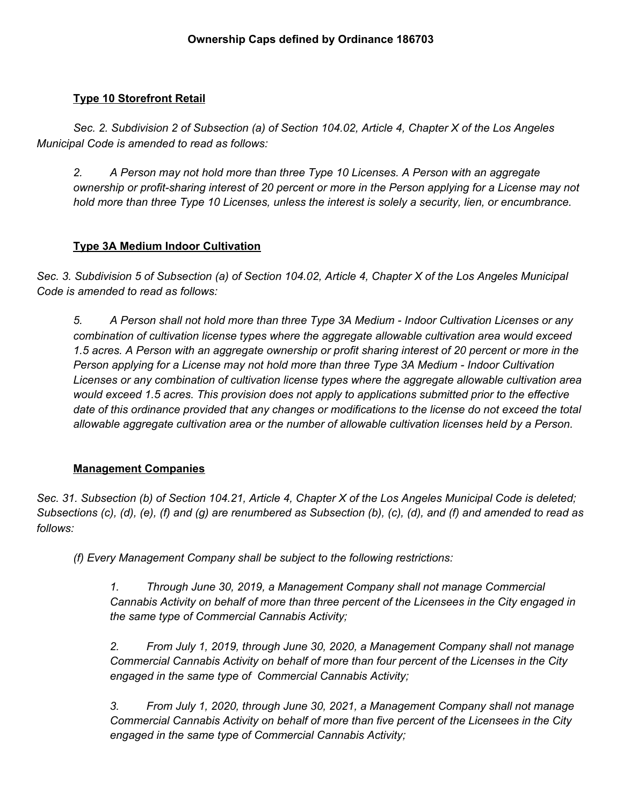## **Type 10 Storefront Retail**

*Sec. 2. Subdivision 2 of Subsection (a) of Section 104.02, Article 4, Chapter X of the Los Angeles Municipal Code is amended to read as follows:*

*2. A Person may not hold more than three Type 10 Licenses. A Person with an aggregate* ownership or profit-sharing interest of 20 percent or more in the Person applying for a License may not *hold more than three Type 10 Licenses, unless the interest is solely a security, lien, or encumbrance.*

## **Type 3A Medium Indoor Cultivation**

Sec. 3. Subdivision 5 of Subsection (a) of Section 104.02, Article 4, Chapter X of the Los Angeles Municipal *Code is amended to read as follows:*

*5. A Person shall not hold more than three Type 3A Medium - Indoor Cultivation Licenses or any combination of cultivation license types where the aggregate allowable cultivation area would exceed* 1.5 acres. A Person with an aggregate ownership or profit sharing interest of 20 percent or more in the *Person applying for a License may not hold more than three Type 3A Medium - Indoor Cultivation Licenses or any combination of cultivation license types where the aggregate allowable cultivation area would exceed 1.5 acres. This provision does not apply to applications submitted prior to the effective* date of this ordinance provided that any changes or modifications to the license do not exceed the total *allowable aggregate cultivation area or the number of allowable cultivation licenses held by a Person.*

## **Management Companies**

Sec. 31. Subsection (b) of Section 104.21, Article 4, Chapter X of the Los Angeles Municipal Code is deleted; Subsections (c), (d), (e), (f) and (g) are renumbered as Subsection (b), (c), (d), and (f) and amended to read as *follows:*

*(f) Every Management Company shall be subject to the following restrictions:*

*1. Through June 30, 2019, a Management Company shall not manage Commercial Cannabis Activity on behalf of more than three percent of the Licensees in the City engaged in the same type of Commercial Cannabis Activity;*

*2. From July 1, 2019, through June 30, 2020, a Management Company shall not manage Commercial Cannabis Activity on behalf of more than four percent of the Licenses in the City engaged in the same type of Commercial Cannabis Activity;*

*3. From July 1, 2020, through June 30, 2021, a Management Company shall not manage Commercial Cannabis Activity on behalf of more than five percent of the Licensees in the City engaged in the same type of Commercial Cannabis Activity;*